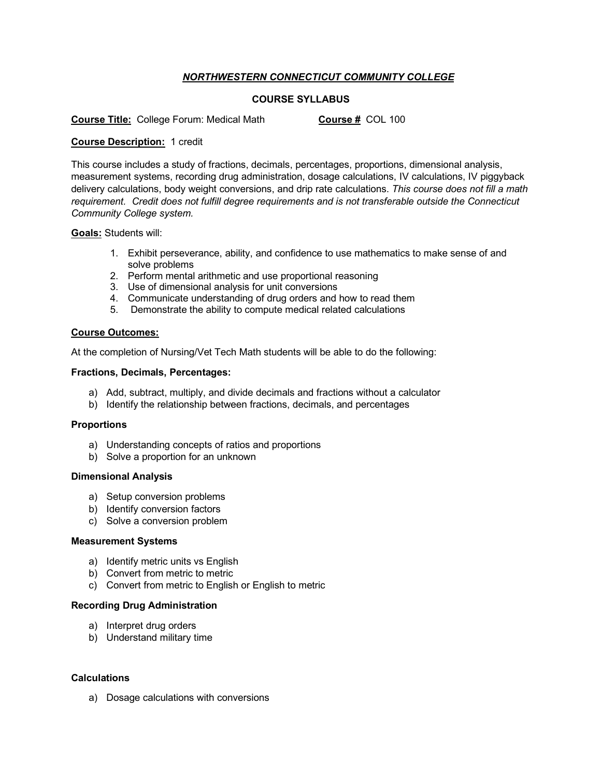# *NORTHWESTERN CONNECTICUT COMMUNITY COLLEGE*

# **COURSE SYLLABUS**

**Course Title:** College Forum: Medical Math **Course #** COL 100

### **Course Description:** 1 credit

This course includes a study of fractions, decimals, percentages, proportions, dimensional analysis, measurement systems, recording drug administration, dosage calculations, IV calculations, IV piggyback delivery calculations, body weight conversions, and drip rate calculations. *This course does not fill a math requirement. Credit does not fulfill degree requirements and is not transferable outside the Connecticut Community College system.*

**Goals:** Students will:

- 1. Exhibit perseverance, ability, and confidence to use mathematics to make sense of and solve problems
- 2. Perform mental arithmetic and use proportional reasoning
- 3. Use of dimensional analysis for unit conversions
- 4. Communicate understanding of drug orders and how to read them
- 5. Demonstrate the ability to compute medical related calculations

## **Course Outcomes:**

At the completion of Nursing/Vet Tech Math students will be able to do the following:

## **Fractions, Decimals, Percentages:**

- a) Add, subtract, multiply, and divide decimals and fractions without a calculator
- b) Identify the relationship between fractions, decimals, and percentages

#### **Proportions**

- a) Understanding concepts of ratios and proportions
- b) Solve a proportion for an unknown

#### **Dimensional Analysis**

- a) Setup conversion problems
- b) Identify conversion factors
- c) Solve a conversion problem

#### **Measurement Systems**

- a) Identify metric units vs English
- b) Convert from metric to metric
- c) Convert from metric to English or English to metric

#### **Recording Drug Administration**

- a) Interpret drug orders
- b) Understand military time

#### **Calculations**

a) Dosage calculations with conversions